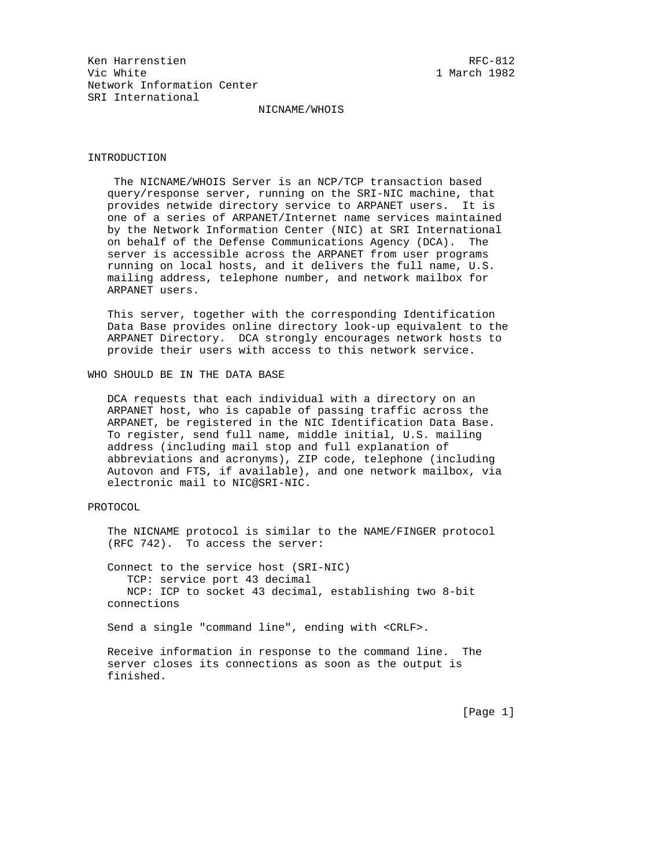## NICNAME/WHOIS

# INTRODUCTION

 The NICNAME/WHOIS Server is an NCP/TCP transaction based query/response server, running on the SRI-NIC machine, that provides netwide directory service to ARPANET users. It is one of a series of ARPANET/Internet name services maintained by the Network Information Center (NIC) at SRI International on behalf of the Defense Communications Agency (DCA). The server is accessible across the ARPANET from user programs running on local hosts, and it delivers the full name, U.S. mailing address, telephone number, and network mailbox for ARPANET users.

 This server, together with the corresponding Identification Data Base provides online directory look-up equivalent to the ARPANET Directory. DCA strongly encourages network hosts to provide their users with access to this network service.

WHO SHOULD BE IN THE DATA BASE

 DCA requests that each individual with a directory on an ARPANET host, who is capable of passing traffic across the ARPANET, be registered in the NIC Identification Data Base. To register, send full name, middle initial, U.S. mailing address (including mail stop and full explanation of abbreviations and acronyms), ZIP code, telephone (including Autovon and FTS, if available), and one network mailbox, via electronic mail to NIC@SRI-NIC.

### PROTOCOL

 The NICNAME protocol is similar to the NAME/FINGER protocol (RFC 742). To access the server:

 Connect to the service host (SRI-NIC) TCP: service port 43 decimal NCP: ICP to socket 43 decimal, establishing two 8-bit connections

Send a single "command line", ending with <CRLF>.

 Receive information in response to the command line. The server closes its connections as soon as the output is finished.

[Page 1]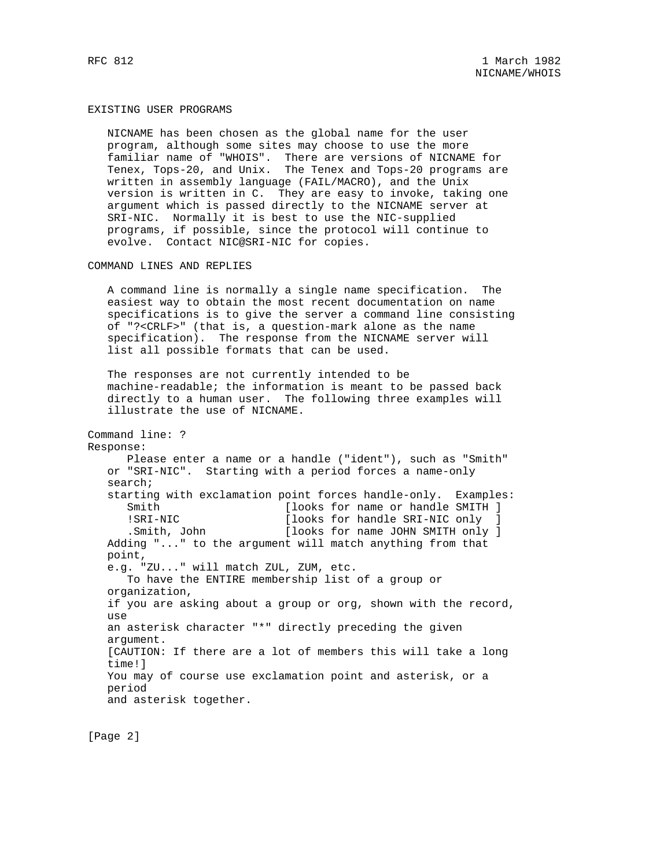#### EXISTING USER PROGRAMS

 NICNAME has been chosen as the global name for the user program, although some sites may choose to use the more familiar name of "WHOIS". There are versions of NICNAME for Tenex, Tops-20, and Unix. The Tenex and Tops-20 programs are written in assembly language (FAIL/MACRO), and the Unix version is written in C. They are easy to invoke, taking one argument which is passed directly to the NICNAME server at SRI-NIC. Normally it is best to use the NIC-supplied programs, if possible, since the protocol will continue to evolve. Contact NIC@SRI-NIC for copies.

### COMMAND LINES AND REPLIES

 A command line is normally a single name specification. The easiest way to obtain the most recent documentation on name specifications is to give the server a command line consisting of "?<CRLF>" (that is, a question-mark alone as the name specification). The response from the NICNAME server will list all possible formats that can be used.

 The responses are not currently intended to be machine-readable; the information is meant to be passed back directly to a human user. The following three examples will illustrate the use of NICNAME.

Command line: ? Response: Please enter a name or a handle ("ident"), such as "Smith" or "SRI-NIC". Starting with a period forces a name-only search; starting with exclamation point forces handle-only. Examples: Smith [looks for name or handle SMITH ] !SRI-NIC [looks for handle SRI-NIC only ] .Smith, John [looks for name JOHN SMITH only ] Adding "..." to the argument will match anything from that point, e.g. "ZU..." will match ZUL, ZUM, etc. To have the ENTIRE membership list of a group or organization, if you are asking about a group or org, shown with the record, use an asterisk character "\*" directly preceding the given argument. [CAUTION: If there are a lot of members this will take a long time!] You may of course use exclamation point and asterisk, or a period and asterisk together.

[Page 2]